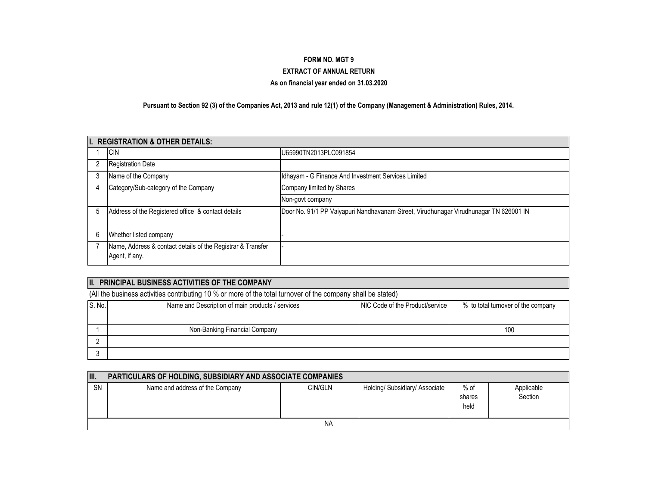### **FORM NO. MGT 9**

#### **EXTRACT OF ANNUAL RETURN**

#### **As on financial year ended on 31.03.2020**

**Pursuant to Section 92 (3) of the Companies Act, 2013 and rule 12(1) of the Company (Management & Administration) Rules, 2014.**

|   | I. REGISTRATION & OTHER DETAILS:                                              |                                                                                       |
|---|-------------------------------------------------------------------------------|---------------------------------------------------------------------------------------|
|   | <b>CIN</b>                                                                    | U65990TN2013PLC091854                                                                 |
|   | <b>Registration Date</b>                                                      |                                                                                       |
|   | Name of the Company                                                           | Idhayam - G Finance And Investment Services Limited                                   |
| 4 | Category/Sub-category of the Company                                          | Company limited by Shares                                                             |
|   |                                                                               | Non-govt company                                                                      |
| b | Address of the Registered office & contact details                            | Door No. 91/1 PP Vaiyapuri Nandhavanam Street, Virudhunagar Virudhunagar TN 626001 IN |
| 6 | Whether listed company                                                        |                                                                                       |
|   | Name, Address & contact details of the Registrar & Transfer<br>Agent, if any. |                                                                                       |

### **II.** PRINCIPAL BUSINESS ACTIVITIES OF THE COMPANY

(All the business activities contributing 10 % or more of the total turnover of the company shall be stated)

| S. No. | Name and Description of main products / services | NIC Code of the Product/service | % to total turnover of the company |
|--------|--------------------------------------------------|---------------------------------|------------------------------------|
|        |                                                  |                                 |                                    |
|        | Non-Banking Financial Company                    |                                 | 100                                |
|        |                                                  |                                 |                                    |
|        |                                                  |                                 |                                    |

| III.      | <b>PARTICULARS OF HOLDING, SUBSIDIARY AND ASSOCIATE COMPANIES</b> |         |                                |                        |                       |  |  |  |  |  |
|-----------|-------------------------------------------------------------------|---------|--------------------------------|------------------------|-----------------------|--|--|--|--|--|
| <b>SN</b> | Name and address of the Company                                   | CIN/GLN | Holding/ Subsidiary/ Associate | % of<br>shares<br>held | Applicable<br>Section |  |  |  |  |  |
|           | ΝA                                                                |         |                                |                        |                       |  |  |  |  |  |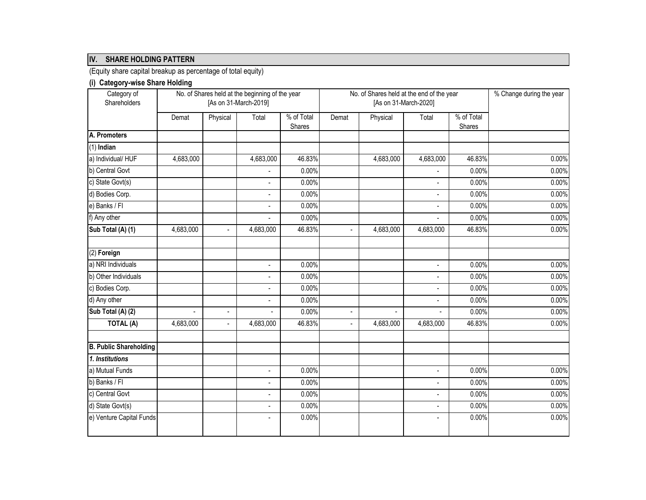## **IV. SHARE HOLDING PATTERN**

(Equity share capital breakup as percentage of total equity)

# **(i) Category-wise Share Holding**

| Category of                   |                |                          | No. of Shares held at the beginning of the year |                             |       | No. of Shares held at the end of the year |                          | % Change during the year |       |
|-------------------------------|----------------|--------------------------|-------------------------------------------------|-----------------------------|-------|-------------------------------------------|--------------------------|--------------------------|-------|
| Shareholders                  |                |                          | [As on 31-March-2019]                           |                             |       | [As on 31-March-2020]                     |                          |                          |       |
|                               | Demat          | Physical                 | Total                                           | % of Total<br><b>Shares</b> | Demat | Physical                                  | Total                    | % of Total<br>Shares     |       |
| A. Promoters                  |                |                          |                                                 |                             |       |                                           |                          |                          |       |
| $(1)$ Indian                  |                |                          |                                                 |                             |       |                                           |                          |                          |       |
| a) Individual/HUF             | 4,683,000      |                          | 4,683,000                                       | 46.83%                      |       | 4,683,000                                 | 4,683,000                | 46.83%                   | 0.00% |
| b) Central Govt               |                |                          |                                                 | 0.00%                       |       |                                           |                          | 0.00%                    | 0.00% |
| c) State Govt(s)              |                |                          | $\blacksquare$                                  | 0.00%                       |       |                                           | $\overline{a}$           | 0.00%                    | 0.00% |
| d) Bodies Corp.               |                |                          | $\overline{a}$                                  | 0.00%                       |       |                                           | $\overline{\phantom{a}}$ | 0.00%                    | 0.00% |
| e) Banks / Fl                 |                |                          | $\overline{a}$                                  | 0.00%                       |       |                                           | $\overline{a}$           | 0.00%                    | 0.00% |
| f) Any other                  |                |                          | $\overline{a}$                                  | 0.00%                       |       |                                           | $\overline{a}$           | 0.00%                    | 0.00% |
| Sub Total (A) (1)             | 4,683,000      | $\overline{a}$           | 4,683,000                                       | 46.83%                      |       | 4,683,000                                 | 4,683,000                | 46.83%                   | 0.00% |
| (2) Foreign                   |                |                          |                                                 |                             |       |                                           |                          |                          |       |
| a) NRI Individuals            |                |                          | $\blacksquare$                                  | 0.00%                       |       |                                           | $\overline{a}$           | 0.00%                    | 0.00% |
| b) Other Individuals          |                |                          | $\blacksquare$                                  | 0.00%                       |       |                                           | $\blacksquare$           | 0.00%                    | 0.00% |
| c) Bodies Corp.               |                |                          | $\blacksquare$                                  | 0.00%                       |       |                                           | $\blacksquare$           | 0.00%                    | 0.00% |
| d) Any other                  |                |                          | $\overline{\phantom{a}}$                        | 0.00%                       |       |                                           | $\overline{a}$           | 0.00%                    | 0.00% |
| Sub Total (A) (2)             | $\overline{a}$ | $\overline{\phantom{a}}$ | $\blacksquare$                                  | 0.00%                       |       | $\overline{a}$                            |                          | 0.00%                    | 0.00% |
| TOTAL (A)                     | 4,683,000      | ÷.                       | 4,683,000                                       | 46.83%                      |       | 4,683,000                                 | 4,683,000                | 46.83%                   | 0.00% |
| <b>B. Public Shareholding</b> |                |                          |                                                 |                             |       |                                           |                          |                          |       |
| 1. Institutions               |                |                          |                                                 |                             |       |                                           |                          |                          |       |
| a) Mutual Funds               |                |                          | $\overline{\phantom{a}}$                        | 0.00%                       |       |                                           | $\overline{a}$           | 0.00%                    | 0.00% |
| b) Banks / FI                 |                |                          | $\blacksquare$                                  | 0.00%                       |       |                                           | $\overline{a}$           | 0.00%                    | 0.00% |
| c) Central Govt               |                |                          | $\overline{\phantom{a}}$                        | 0.00%                       |       |                                           | $\overline{a}$           | 0.00%                    | 0.00% |
| d) State Govt(s)              |                |                          | $\blacksquare$                                  | 0.00%                       |       |                                           | $\overline{a}$           | 0.00%                    | 0.00% |
| e) Venture Capital Funds      |                |                          | $\overline{\phantom{a}}$                        | 0.00%                       |       |                                           | $\overline{a}$           | 0.00%                    | 0.00% |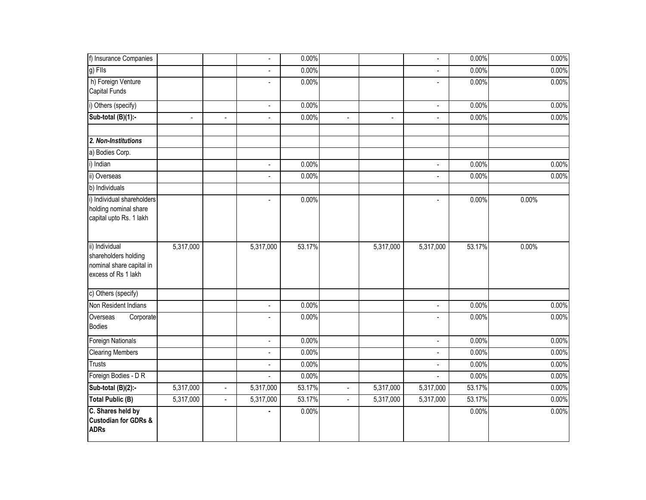| f) Insurance Companies                                                                    |                          |                | $\overline{\phantom{a}}$ | 0.00%  |                |                          | $\blacksquare$           | 0.00%  | 0.00% |
|-------------------------------------------------------------------------------------------|--------------------------|----------------|--------------------------|--------|----------------|--------------------------|--------------------------|--------|-------|
| $g)$ Fils                                                                                 |                          |                | $\overline{\phantom{a}}$ | 0.00%  |                |                          | $\blacksquare$           | 0.00%  | 0.00% |
| h) Foreign Venture<br><b>Capital Funds</b>                                                |                          |                | $\overline{\phantom{a}}$ | 0.00%  |                |                          | $\blacksquare$           | 0.00%  | 0.00% |
| i) Others (specify)                                                                       |                          |                | $\overline{\phantom{a}}$ | 0.00%  |                |                          | $\overline{\phantom{a}}$ | 0.00%  | 0.00% |
| Sub-total (B)(1):-                                                                        | $\overline{\phantom{a}}$ | $\overline{a}$ | $\blacksquare$           | 0.00%  | $\blacksquare$ | $\overline{\phantom{a}}$ | $\blacksquare$           | 0.00%  | 0.00% |
| 2. Non-Institutions                                                                       |                          |                |                          |        |                |                          |                          |        |       |
| a) Bodies Corp.                                                                           |                          |                |                          |        |                |                          |                          |        |       |
| i) Indian                                                                                 |                          |                | $\blacksquare$           | 0.00%  |                |                          | $\blacksquare$           | 0.00%  | 0.00% |
| ii) Overseas                                                                              |                          |                | $\blacksquare$           | 0.00%  |                |                          | $\blacksquare$           | 0.00%  | 0.00% |
| b) Individuals                                                                            |                          |                |                          |        |                |                          |                          |        |       |
| i) Individual shareholders<br>holding nominal share<br>capital upto Rs. 1 lakh            |                          |                | $\blacksquare$           | 0.00%  |                |                          | $\blacksquare$           | 0.00%  | 0.00% |
| ii) Individual<br>shareholders holding<br>nominal share capital in<br>excess of Rs 1 lakh | 5,317,000                |                | 5,317,000                | 53.17% |                | 5,317,000                | 5,317,000                | 53.17% | 0.00% |
| c) Others (specify)                                                                       |                          |                |                          |        |                |                          |                          |        |       |
| Non Resident Indians                                                                      |                          |                | $\overline{\phantom{a}}$ | 0.00%  |                |                          | $\blacksquare$           | 0.00%  | 0.00% |
| Overseas<br>Corporate<br><b>Bodies</b>                                                    |                          |                | $\overline{\phantom{a}}$ | 0.00%  |                |                          | $\sim$                   | 0.00%  | 0.00% |
| Foreign Nationals                                                                         |                          |                | $\overline{\phantom{a}}$ | 0.00%  |                |                          | $\overline{\phantom{a}}$ | 0.00%  | 0.00% |
| <b>Clearing Members</b>                                                                   |                          |                | $\overline{\phantom{a}}$ | 0.00%  |                |                          | $\blacksquare$           | 0.00%  | 0.00% |
| <b>Trusts</b>                                                                             |                          |                | $\overline{\phantom{a}}$ | 0.00%  |                |                          | $\sim$                   | 0.00%  | 0.00% |
| Foreign Bodies - D R                                                                      |                          |                | $\overline{\phantom{a}}$ | 0.00%  |                |                          | $\overline{\phantom{a}}$ | 0.00%  | 0.00% |
| Sub-total (B)(2):-                                                                        | 5,317,000                | $\blacksquare$ | 5,317,000                | 53.17% | $\blacksquare$ | 5,317,000                | 5,317,000                | 53.17% | 0.00% |
| <b>Total Public (B)</b>                                                                   | 5,317,000                | $\mathbf{L}$   | 5,317,000                | 53.17% | $\blacksquare$ | 5,317,000                | $\overline{5,}317,000$   | 53.17% | 0.00% |
| C. Shares held by<br><b>Custodian for GDRs &amp;</b><br><b>ADRs</b>                       |                          |                |                          | 0.00%  |                |                          |                          | 0.00%  | 0.00% |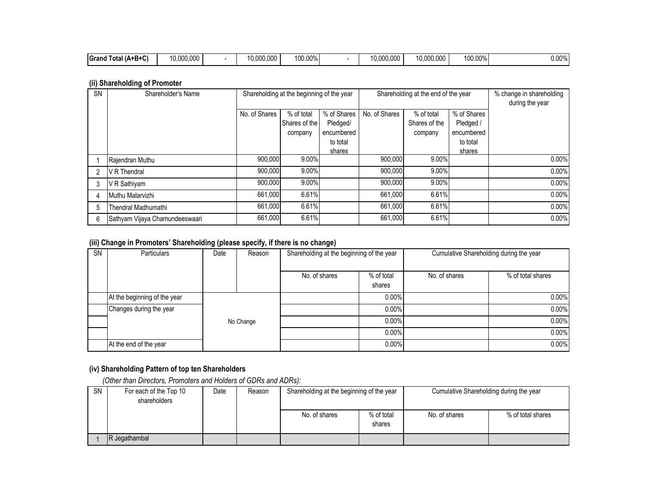| $\sim$<br><b>IGrand</b><br>Total (A+B+C) | $0.000.00^{\circ}$ |  | $ -$<br>0.000.00 | 100.00% |  | nnr<br>---<br>10.00<br>.uuu | 00.000<br>10.0L | 100.00% | $0.00\%$ |
|------------------------------------------|--------------------|--|------------------|---------|--|-----------------------------|-----------------|---------|----------|
|------------------------------------------|--------------------|--|------------------|---------|--|-----------------------------|-----------------|---------|----------|

### **(ii) Shareholding of Promoter**

| <b>SN</b> | Shareholder's Name             |               | Shareholding at the beginning of the year |             |               | Shareholding at the end of the year |             | % change in shareholding |
|-----------|--------------------------------|---------------|-------------------------------------------|-------------|---------------|-------------------------------------|-------------|--------------------------|
|           |                                |               |                                           |             |               |                                     |             | during the year          |
|           |                                | No. of Shares | % of total                                | % of Shares | No. of Shares | % of total                          | % of Shares |                          |
|           |                                |               | Shares of the                             | Pledged/    |               | Shares of the                       | Pledged /   |                          |
|           |                                |               | company                                   | encumbered  |               | company                             | encumbered  |                          |
|           |                                |               |                                           | to total    |               |                                     | to total    |                          |
|           |                                |               |                                           | shares      |               |                                     | shares      |                          |
|           | Rajendran Muthu                | 900.000       | 9.00%                                     |             | 900.000       | 9.00%                               |             | 0.00%                    |
|           | V R Thendral                   | 900,000       | 9.00%                                     |             | 900,000       | 9.00%                               |             | 0.00%                    |
|           | V R Sathiyam                   | 900,000       | 9.00%                                     |             | 900,000       | 9.00%                               |             | 0.00%                    |
|           | Muthu Malarvizhi               | 661.000       | 6.61%                                     |             | 661.000       | 6.61%                               |             | 0.00%                    |
| 5         | Thendral Madhumathi            | 661,000       | 6.61%                                     |             | 661,000       | 6.61%                               |             | 0.00%                    |
| 6         | Sathyam Vijaya Chamundeeswaari | 661,000       | 6.61%                                     |             | 661.000       | 6.61%                               |             | 0.00%                    |

### **(iii) Change in Promoters' Shareholding (please specify, if there is no change)**

| $\ddot{\phantom{a}}$ |                              | - -       | . .    |                                           |                      |                                         |                   |  |
|----------------------|------------------------------|-----------|--------|-------------------------------------------|----------------------|-----------------------------------------|-------------------|--|
| <b>SN</b>            | <b>Particulars</b>           | Date      | Reason | Shareholding at the beginning of the year |                      | Cumulative Shareholding during the year |                   |  |
|                      |                              |           |        | No. of shares                             | % of total<br>shares | No. of shares                           | % of total shares |  |
|                      | At the beginning of the year |           |        |                                           | $0.00\%$             |                                         | 0.00%             |  |
|                      | Changes during the year      |           |        |                                           | 0.00%                |                                         | 0.00%             |  |
|                      |                              | No Change |        |                                           | 0.00%                |                                         | 0.00%             |  |
|                      |                              |           |        |                                           | $0.00\%$             |                                         | 0.00%             |  |
|                      | At the end of the year       |           |        |                                           | 0.00%                |                                         | 0.00%             |  |

## **(iv) Shareholding Pattern of top ten Shareholders**

 *(Other than Directors, Promoters and Holders of GDRs and ADRs):*

| <b>SN</b> | For each of the Top 10<br>shareholders | Date | Reason | Shareholding at the beginning of the year |                      | Cumulative Shareholding during the year |                   |  |
|-----------|----------------------------------------|------|--------|-------------------------------------------|----------------------|-----------------------------------------|-------------------|--|
|           |                                        |      |        | No. of shares                             | % of total<br>shares | No. of shares                           | % of total shares |  |
|           | R Jegathambal                          |      |        |                                           |                      |                                         |                   |  |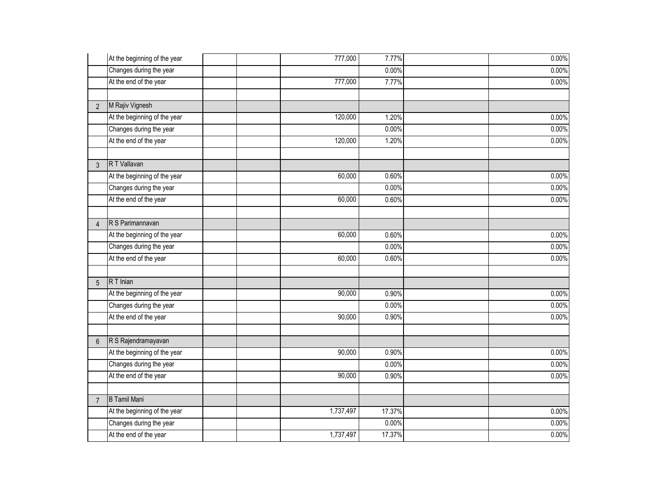|                | At the beginning of the year | 777,000   | 7.77%  | 0.00% |
|----------------|------------------------------|-----------|--------|-------|
|                | Changes during the year      |           | 0.00%  | 0.00% |
|                | At the end of the year       | 777,000   | 7.77%  | 0.00% |
|                |                              |           |        |       |
| $\overline{2}$ | M Rajiv Vignesh              |           |        |       |
|                | At the beginning of the year | 120,000   | 1.20%  | 0.00% |
|                | Changes during the year      |           | 0.00%  | 0.00% |
|                | At the end of the year       | 120,000   | 1.20%  | 0.00% |
|                |                              |           |        |       |
| 3              | R T Vallavan                 |           |        |       |
|                | At the beginning of the year | 60,000    | 0.60%  | 0.00% |
|                | Changes during the year      |           | 0.00%  | 0.00% |
|                | At the end of the year       | 60,000    | 0.60%  | 0.00% |
|                | R S Parimannavan             |           |        |       |
| $\overline{4}$ |                              |           |        |       |
|                | At the beginning of the year | 60,000    | 0.60%  | 0.00% |
|                | Changes during the year      |           | 0.00%  | 0.00% |
|                | At the end of the year       | 60,000    | 0.60%  | 0.00% |
| 5              | R T Inian                    |           |        |       |
|                | At the beginning of the year | 90,000    | 0.90%  | 0.00% |
|                | Changes during the year      |           | 0.00%  | 0.00% |
|                | At the end of the year       | 90,000    | 0.90%  | 0.00% |
|                |                              |           |        |       |
| $6\phantom{1}$ | R S Rajendramayavan          |           |        |       |
|                | At the beginning of the year | 90,000    | 0.90%  | 0.00% |
|                | Changes during the year      |           | 0.00%  | 0.00% |
|                | At the end of the year       | 90,000    | 0.90%  | 0.00% |
|                |                              |           |        |       |
| $\overline{7}$ | <b>B</b> Tamil Mani          |           |        |       |
|                | At the beginning of the year | 1,737,497 | 17.37% | 0.00% |
|                | Changes during the year      |           | 0.00%  | 0.00% |
|                | At the end of the year       | 1,737,497 | 17.37% | 0.00% |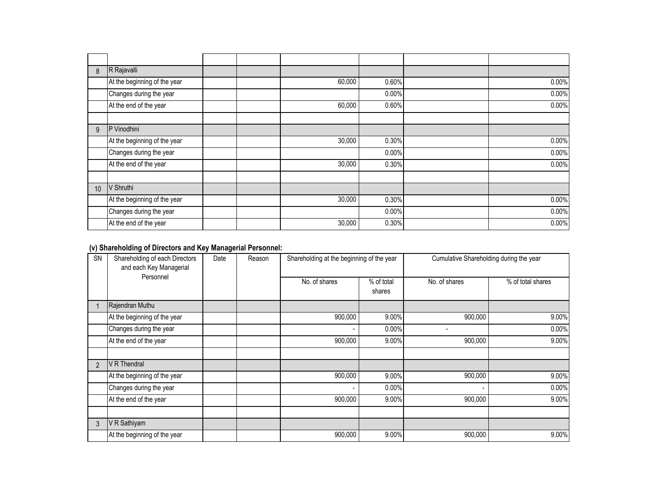| 8  | R Rajavalli                  |        |       |       |
|----|------------------------------|--------|-------|-------|
|    | At the beginning of the year | 60,000 | 0.60% | 0.00% |
|    | Changes during the year      |        | 0.00% | 0.00% |
|    | At the end of the year       | 60,000 | 0.60% | 0.00% |
|    |                              |        |       |       |
| 9  | P Vinodhini                  |        |       |       |
|    | At the beginning of the year | 30,000 | 0.30% | 0.00% |
|    | Changes during the year      |        | 0.00% | 0.00% |
|    | At the end of the year       | 30,000 | 0.30% | 0.00% |
|    |                              |        |       |       |
| 10 | V Shruthi                    |        |       |       |
|    | At the beginning of the year | 30,000 | 0.30% | 0.00% |
|    | Changes during the year      |        | 0.00% | 0.00% |
|    | At the end of the year       | 30,000 | 0.30% | 0.00% |

## **(v) Shareholding of Directors and Key Managerial Personnel:**

| <b>SN</b>      | Shareholding of each Directors<br>and each Key Managerial | Date | Reason | Shareholding at the beginning of the year |                      |               | Cumulative Shareholding during the year |  |  |
|----------------|-----------------------------------------------------------|------|--------|-------------------------------------------|----------------------|---------------|-----------------------------------------|--|--|
|                | Personnel                                                 |      |        | No. of shares                             | % of total<br>shares | No. of shares | % of total shares                       |  |  |
|                | Rajendran Muthu                                           |      |        |                                           |                      |               |                                         |  |  |
|                | At the beginning of the year                              |      |        | 900,000                                   | 9.00%                | 900,000       | 9.00%                                   |  |  |
|                | Changes during the year                                   |      |        | $\blacksquare$                            | 0.00%                |               | 0.00%                                   |  |  |
|                | At the end of the year                                    |      |        | 900,000                                   | 9.00%                | 900,000       | 9.00%                                   |  |  |
|                |                                                           |      |        |                                           |                      |               |                                         |  |  |
| $\overline{2}$ | V R Thendral                                              |      |        |                                           |                      |               |                                         |  |  |
|                | At the beginning of the year                              |      |        | 900,000                                   | 9.00%                | 900,000       | 9.00%                                   |  |  |
|                | Changes during the year                                   |      |        |                                           | 0.00%                |               | 0.00%                                   |  |  |
|                | At the end of the year                                    |      |        | 900,000                                   | 9.00%                | 900,000       | 9.00%                                   |  |  |
|                |                                                           |      |        |                                           |                      |               |                                         |  |  |
| 3              | V R Sathiyam                                              |      |        |                                           |                      |               |                                         |  |  |
|                | At the beginning of the year                              |      |        | 900,000                                   | 9.00%                | 900,000       | 9.00%                                   |  |  |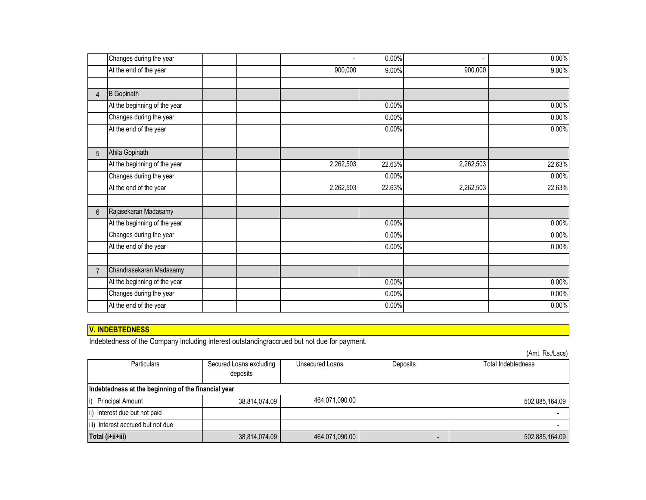|                | Changes during the year      |  |           | 0.00%  |           | 0.00%  |
|----------------|------------------------------|--|-----------|--------|-----------|--------|
|                | At the end of the year       |  | 900,000   | 9.00%  | 900,000   | 9.00%  |
|                |                              |  |           |        |           |        |
| 4              | <b>B</b> Gopinath            |  |           |        |           |        |
|                | At the beginning of the year |  |           | 0.00%  |           | 0.00%  |
|                | Changes during the year      |  |           | 0.00%  |           | 0.00%  |
|                | At the end of the year       |  |           | 0.00%  |           | 0.00%  |
|                |                              |  |           |        |           |        |
| 5              | Ahila Gopinath               |  |           |        |           |        |
|                | At the beginning of the year |  | 2,262,503 | 22.63% | 2,262,503 | 22.63% |
|                | Changes during the year      |  |           | 0.00%  |           | 0.00%  |
|                | At the end of the year       |  | 2,262,503 | 22.63% | 2,262,503 | 22.63% |
|                |                              |  |           |        |           |        |
| 6              | Rajasekaran Madasamy         |  |           |        |           |        |
|                | At the beginning of the year |  |           | 0.00%  |           | 0.00%  |
|                | Changes during the year      |  |           | 0.00%  |           | 0.00%  |
|                | At the end of the year       |  |           | 0.00%  |           | 0.00%  |
|                |                              |  |           |        |           |        |
| $\overline{7}$ | Chandrasekaran Madasamy      |  |           |        |           |        |
|                | At the beginning of the year |  |           | 0.00%  |           | 0.00%  |
|                | Changes during the year      |  |           | 0.00%  |           | 0.00%  |
|                | At the end of the year       |  |           | 0.00%  |           | 0.00%  |

# **V. INDEBTEDNESS**

Indebtedness of the Company including interest outstanding/accrued but not due for payment.

(Amt. Rs./Lacs)

| <b>Particulars</b>                                  | Secured Loans excluding<br>deposits | Unsecured Loans | Deposits | Total Indebtedness |  |  |
|-----------------------------------------------------|-------------------------------------|-----------------|----------|--------------------|--|--|
| Indebtedness at the beginning of the financial year |                                     |                 |          |                    |  |  |
| <b>Principal Amount</b><br>li)                      | 38,814,074.09                       | 464,071,090.00  |          | 502,885,164.09     |  |  |
| ii) Interest due but not paid                       |                                     |                 |          |                    |  |  |
| iii) Interest accrued but not due                   |                                     |                 |          |                    |  |  |
| Total (i+ii+iii)                                    | 38,814,074.09                       | 464,071,090.00  |          | 502,885,164.09     |  |  |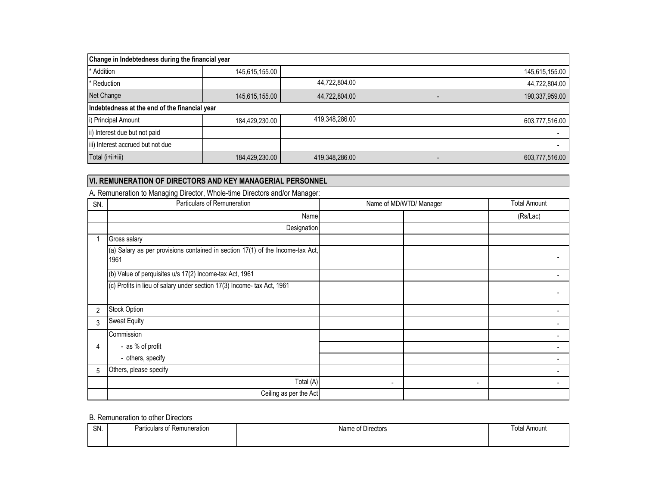| Change in Indebtedness during the financial year |                |                |  |                |  |  |
|--------------------------------------------------|----------------|----------------|--|----------------|--|--|
| * Addition                                       | 145,615,155.00 |                |  | 145,615,155.00 |  |  |
| * Reduction                                      |                | 44,722,804.00  |  | 44,722,804.00  |  |  |
| Net Change                                       | 145,615,155.00 | 44,722,804.00  |  | 190,337,959.00 |  |  |
| Indebtedness at the end of the financial year    |                |                |  |                |  |  |
| i) Principal Amount                              | 184,429,230.00 | 419,348,286.00 |  | 603,777,516.00 |  |  |
| ii) Interest due but not paid                    |                |                |  |                |  |  |
| iii) Interest accrued but not due                |                |                |  |                |  |  |
| Total (i+ii+iii)                                 | 603,777,516.00 |                |  |                |  |  |

### **VI. REMUNERATION OF DIRECTORS AND KEY MANAGERIAL PERSONNEL**

| SN.            | Particulars of Remuneration                                                            | Name of MD/WTD/ Manager       | <b>Total Amount</b> |
|----------------|----------------------------------------------------------------------------------------|-------------------------------|---------------------|
|                | Name                                                                                   |                               | (Rs/Lac)            |
|                | Designation                                                                            |                               |                     |
|                | Gross salary                                                                           |                               |                     |
|                | (a) Salary as per provisions contained in section 17(1) of the Income-tax Act,<br>1961 |                               |                     |
|                | (b) Value of perquisites u/s 17(2) Income-tax Act, 1961                                |                               |                     |
|                | (c) Profits in lieu of salary under section 17(3) Income- tax Act, 1961                |                               |                     |
| $\overline{2}$ | <b>Stock Option</b>                                                                    |                               |                     |
| 3              | <b>Sweat Equity</b>                                                                    |                               |                     |
|                | Commission                                                                             |                               |                     |
| 4              | - as % of profit                                                                       |                               |                     |
|                | - others, specify                                                                      |                               |                     |
| 5              | Others, please specify                                                                 |                               |                     |
|                | Total (A)                                                                              | ٠<br>$\overline{\phantom{a}}$ |                     |
|                | Ceiling as per the Act                                                                 |                               |                     |

A**.** Remuneration to Managing Director, Whole-time Directors and/or Manager:

### B. Remuneration to other Directors

| SN. | Particulars of Remuneration | $\sim$ $\sim$ $\sim$<br><sup>+</sup> Directors<br>Name of | <b>Total Amount</b> |
|-----|-----------------------------|-----------------------------------------------------------|---------------------|
|     |                             |                                                           |                     |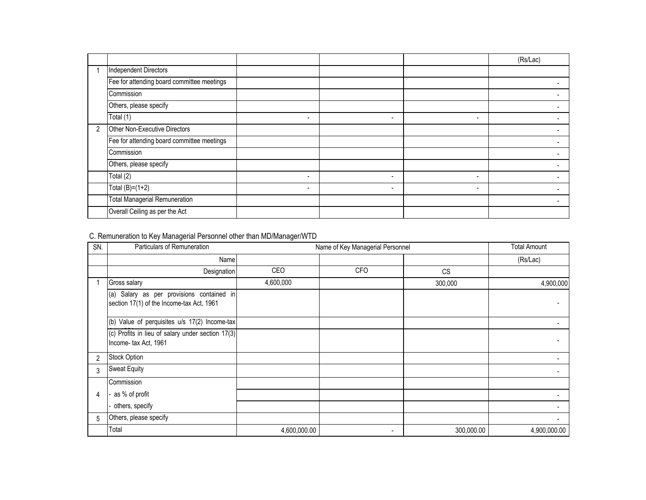|                |                                            |                          |                          |                          | (Rs/Lac) |
|----------------|--------------------------------------------|--------------------------|--------------------------|--------------------------|----------|
|                | <b>Independent Directors</b>               |                          |                          |                          |          |
|                | Fee for attending board committee meetings |                          |                          |                          |          |
|                | Commission                                 |                          |                          |                          |          |
|                | Others, please specify                     |                          |                          |                          |          |
|                | Total (1)                                  | ۰                        |                          | $\overline{\phantom{0}}$ |          |
| $\overline{2}$ | Other Non-Executive Directors              |                          |                          |                          |          |
|                | Fee for attending board committee meetings |                          |                          |                          |          |
|                | Commission                                 |                          |                          |                          |          |
|                | Others, please specify                     |                          |                          |                          |          |
|                | Total (2)                                  | ۰                        | $\overline{\phantom{0}}$ | $\overline{\phantom{0}}$ |          |
|                | Total $(B)=(1+2)$                          | $\overline{\phantom{0}}$ | $\overline{\phantom{0}}$ | $\overline{\phantom{0}}$ |          |
|                | <b>Total Managerial Remuneration</b>       |                          |                          |                          |          |
|                | Overall Ceiling as per the Act             |                          |                          |                          |          |

# C. Remuneration to Key Managerial Personnel other than MD/Manager/WTD

| SN. | Particulars of Remuneration                                                            |              | Name of Key Managerial Personnel |            |              |  |
|-----|----------------------------------------------------------------------------------------|--------------|----------------------------------|------------|--------------|--|
|     | Name                                                                                   |              |                                  |            | (Rs/Lac)     |  |
|     | Designation                                                                            | CEO          | <b>CFO</b>                       | <b>CS</b>  |              |  |
|     | Gross salary                                                                           | 4,600,000    |                                  | 300,000    | 4,900,000    |  |
|     | (a) Salary as per provisions contained in<br>section 17(1) of the Income-tax Act, 1961 |              |                                  |            |              |  |
|     | (b) Value of perquisites u/s 17(2) Income-tax                                          |              |                                  |            |              |  |
|     | (c) Profits in lieu of salary under section 17(3)<br>Income-tax Act, 1961              |              |                                  |            |              |  |
| 2   | <b>Stock Option</b>                                                                    |              |                                  |            |              |  |
| 3   | <b>Sweat Equity</b>                                                                    |              |                                  |            |              |  |
|     | Commission                                                                             |              |                                  |            |              |  |
| 4   | as % of profit                                                                         |              |                                  |            |              |  |
|     | others, specify                                                                        |              |                                  |            |              |  |
| 5   | Others, please specify                                                                 |              |                                  |            |              |  |
|     | Total                                                                                  | 4,600,000.00 | $\overline{\phantom{a}}$         | 300,000.00 | 4,900,000.00 |  |